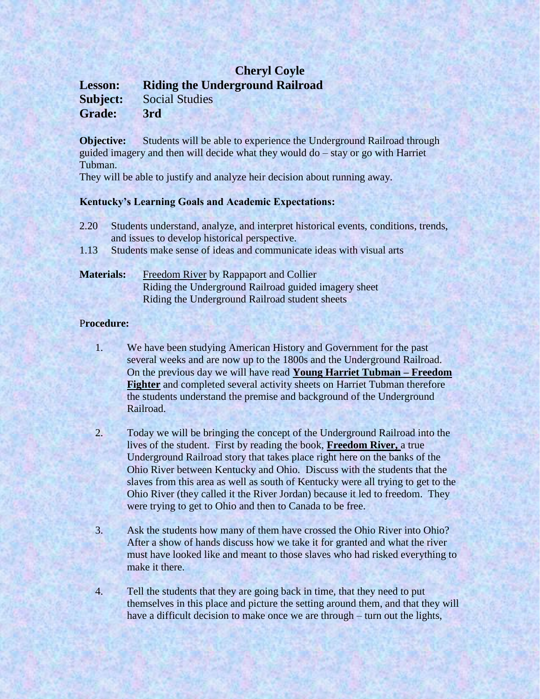## **Cheryl Coyle Lesson: Riding the Underground Railroad Subject:** Social Studies **Grade: 3rd**

**Objective:** Students will be able to experience the Underground Railroad through guided imagery and then will decide what they would do – stay or go with Harriet Tubman.

They will be able to justify and analyze heir decision about running away.

## **Kentucky's Learning Goals and Academic Expectations:**

- 2.20 Students understand, analyze, and interpret historical events, conditions, trends, and issues to develop historical perspective.
- 1.13 Students make sense of ideas and communicate ideas with visual arts

## **Materials:** Freedom River by Rappaport and Collier Riding the Underground Railroad guided imagery sheet Riding the Underground Railroad student sheets

## P**rocedure:**

- 1. We have been studying American History and Government for the past several weeks and are now up to the 1800s and the Underground Railroad. On the previous day we will have read **Young Harriet Tubman – Freedom Fighter** and completed several activity sheets on Harriet Tubman therefore the students understand the premise and background of the Underground Railroad.
- 2. Today we will be bringing the concept of the Underground Railroad into the lives of the student. First by reading the book, **Freedom River,** a true Underground Railroad story that takes place right here on the banks of the Ohio River between Kentucky and Ohio. Discuss with the students that the slaves from this area as well as south of Kentucky were all trying to get to the Ohio River (they called it the River Jordan) because it led to freedom. They were trying to get to Ohio and then to Canada to be free.
- 3. Ask the students how many of them have crossed the Ohio River into Ohio? After a show of hands discuss how we take it for granted and what the river must have looked like and meant to those slaves who had risked everything to make it there.
- 4. Tell the students that they are going back in time, that they need to put themselves in this place and picture the setting around them, and that they will have a difficult decision to make once we are through – turn out the lights,